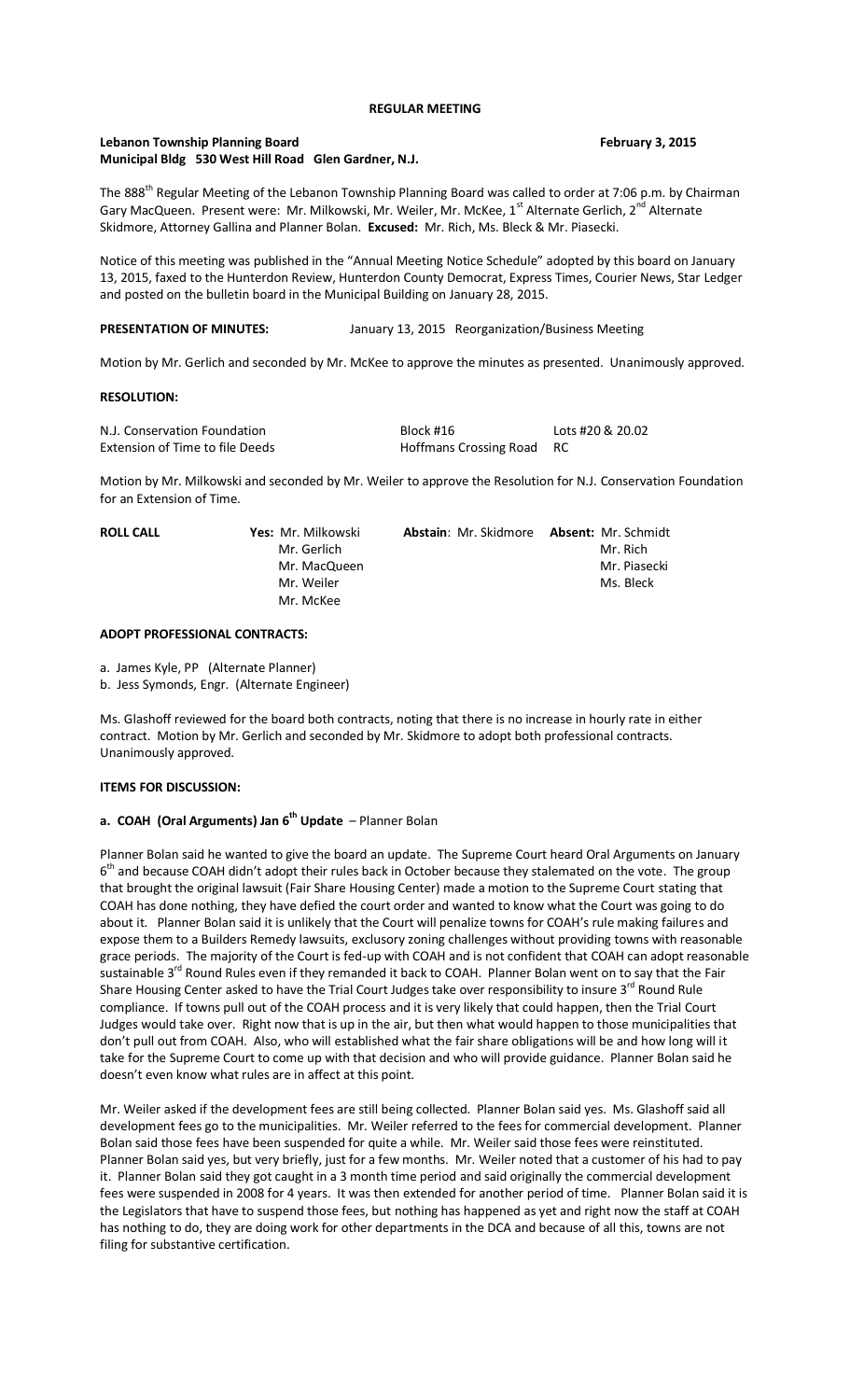## **REGULAR MEETING**

# **Lebanon Township Planning Board February 3, 2015 Municipal Bldg 530 West Hill Road Glen Gardner, N.J.**

The 888<sup>th</sup> Regular Meeting of the Lebanon Township Planning Board was called to order at 7:06 p.m. by Chairman Gary MacQueen. Present were: Mr. Milkowski, Mr. Weiler, Mr. McKee, 1<sup>st</sup> Alternate Gerlich, 2<sup>nd</sup> Alternate Skidmore, Attorney Gallina and Planner Bolan. **Excused:** Mr. Rich, Ms. Bleck & Mr. Piasecki.

Notice of this meeting was published in the "Annual Meeting Notice Schedule" adopted by this board on January 13, 2015, faxed to the Hunterdon Review, Hunterdon County Democrat, Express Times, Courier News, Star Ledger and posted on the bulletin board in the Municipal Building on January 28, 2015.

## **PRESENTATION OF MINUTES:** January 13, 2015 Reorganization/Business Meeting

Motion by Mr. Gerlich and seconded by Mr. McKee to approve the minutes as presented. Unanimously approved.

## **RESOLUTION:**

| N.J. Conservation Foundation    | Block #16                 | Lots #20 & 20.02 |
|---------------------------------|---------------------------|------------------|
| Extension of Time to file Deeds | Hoffmans Crossing Road RC |                  |

Motion by Mr. Milkowski and seconded by Mr. Weiler to approve the Resolution for N.J. Conservation Foundation for an Extension of Time.

| <b>ROLL CALL</b> | Yes: Mr. Milkowski | Abstain: Mr. Skidmore Absent: Mr. Schmidt |              |
|------------------|--------------------|-------------------------------------------|--------------|
|                  | Mr. Gerlich        |                                           | Mr. Rich     |
|                  | Mr. MacQueen       |                                           | Mr. Piasecki |
|                  | Mr. Weiler         |                                           | Ms. Bleck    |
|                  | Mr. McKee          |                                           |              |

## **ADOPT PROFESSIONAL CONTRACTS:**

- a. James Kyle, PP (Alternate Planner)
- b. Jess Symonds, Engr. (Alternate Engineer)

Ms. Glashoff reviewed for the board both contracts, noting that there is no increase in hourly rate in either contract. Motion by Mr. Gerlich and seconded by Mr. Skidmore to adopt both professional contracts. Unanimously approved.

### **ITEMS FOR DISCUSSION:**

# **a. COAH (Oral Arguments) Jan 6th Update** – Planner Bolan

Planner Bolan said he wanted to give the board an update. The Supreme Court heard Oral Arguments on January 6<sup>th</sup> and because COAH didn't adopt their rules back in October because they stalemated on the vote. The group that brought the original lawsuit (Fair Share Housing Center) made a motion to the Supreme Court stating that COAH has done nothing, they have defied the court order and wanted to know what the Court was going to do about it. Planner Bolan said it is unlikely that the Court will penalize towns for COAH's rule making failures and expose them to a Builders Remedy lawsuits, exclusory zoning challenges without providing towns with reasonable grace periods. The majority of the Court is fed-up with COAH and is not confident that COAH can adopt reasonable sustainable 3<sup>rd</sup> Round Rules even if they remanded it back to COAH. Planner Bolan went on to say that the Fair Share Housing Center asked to have the Trial Court Judges take over responsibility to insure 3<sup>rd</sup> Round Rule compliance. If towns pull out of the COAH process and it is very likely that could happen, then the Trial Court Judges would take over. Right now that is up in the air, but then what would happen to those municipalities that don't pull out from COAH. Also, who will established what the fair share obligations will be and how long will it take for the Supreme Court to come up with that decision and who will provide guidance. Planner Bolan said he doesn't even know what rules are in affect at this point.

Mr. Weiler asked if the development fees are still being collected. Planner Bolan said yes. Ms. Glashoff said all development fees go to the municipalities. Mr. Weiler referred to the fees for commercial development. Planner Bolan said those fees have been suspended for quite a while. Mr. Weiler said those fees were reinstituted. Planner Bolan said yes, but very briefly, just for a few months. Mr. Weiler noted that a customer of his had to pay it. Planner Bolan said they got caught in a 3 month time period and said originally the commercial development fees were suspended in 2008 for 4 years. It was then extended for another period of time. Planner Bolan said it is the Legislators that have to suspend those fees, but nothing has happened as yet and right now the staff at COAH has nothing to do, they are doing work for other departments in the DCA and because of all this, towns are not filing for substantive certification.